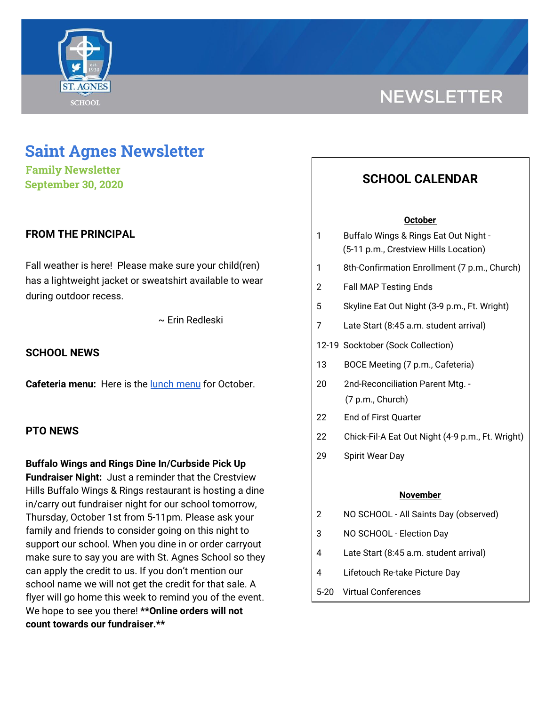

# **NEWSLETTER**

## **Saint Agnes Newsletter**

**Family Newsletter September 30, 2020**

#### **FROM THE PRINCIPAL**

Fall weather is here! Please make sure your child(ren) has a lightweight jacket or sweatshirt available to wear during outdoor recess.

~ Erin Redleski

#### **SCHOOL NEWS**

**Cafeteria menu:** Here is the lunch [menu](https://school.saintagnes.com/wp-content/uploads/2020/09/2020-2021-Oct-ES-Menu.pdf) for October.

#### **PTO NEWS**

**Buffalo Wings and Rings Dine In/Curbside Pick Up Fundraiser Night:** Just a reminder that the Crestview Hills Buffalo Wings & Rings restaurant is hosting a dine in/carry out fundraiser night for our school tomorrow, Thursday, October 1st from 5-11pm. Please ask your family and friends to consider going on this night to support our school. When you dine in or order carryout make sure to say you are with St. Agnes School so they can apply the credit to us. If you don't mention our school name we will not get the credit for that sale. A flyer will go home this week to remind you of the event. We hope to see you there! **\*\*Online orders will not count towards our fundraiser.\*\***

### **SCHOOL CALENDAR**

#### **October**

| 1               | Buffalo Wings & Rings Eat Out Night -            |
|-----------------|--------------------------------------------------|
|                 | (5-11 p.m., Crestview Hills Location)            |
| 1               | 8th-Confirmation Enrollment (7 p.m., Church)     |
| 2               | <b>Fall MAP Testing Ends</b>                     |
| 5               | Skyline Eat Out Night (3-9 p.m., Ft. Wright)     |
| 7               | Late Start (8:45 a.m. student arrival)           |
|                 | 12-19 Socktober (Sock Collection)                |
| 13              | BOCE Meeting (7 p.m., Cafeteria)                 |
| 20              | 2nd-Reconciliation Parent Mtg. -                 |
|                 | (7 p.m., Church)                                 |
| 22              | End of First Quarter                             |
| 22              | Chick-Fil-A Eat Out Night (4-9 p.m., Ft. Wright) |
| 29              | Spirit Wear Day                                  |
|                 |                                                  |
| <u>November</u> |                                                  |
| 2               | NO SCHOOL - All Saints Day (observed)            |

- 3 NO SCHOOL Election Day
- 4 Late Start (8:45 a.m. student arrival)
- 4 Lifetouch Re-take Picture Day
- 5-20 Virtual Conferences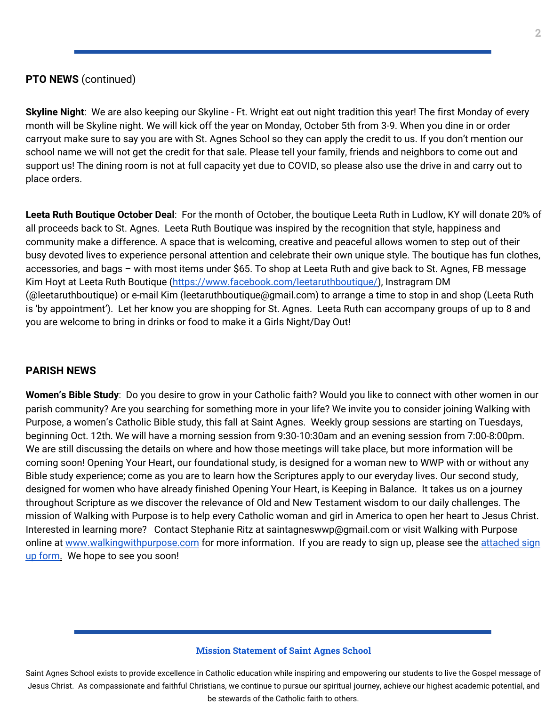#### **PTO NEWS** (continued)

**Skyline Night**: We are also keeping our Skyline - Ft. Wright eat out night tradition this year! The first Monday of every month will be Skyline night. We will kick off the year on Monday, October 5th from 3-9. When you dine in or order carryout make sure to say you are with St. Agnes School so they can apply the credit to us. If you don't mention our school name we will not get the credit for that sale. Please tell your family, friends and neighbors to come out and support us! The dining room is not at full capacity yet due to COVID, so please also use the drive in and carry out to place orders.

**Leeta Ruth Boutique October Deal**: For the month of October, the boutique Leeta Ruth in Ludlow, KY will donate 20% of all proceeds back to St. Agnes. Leeta Ruth Boutique was inspired by the recognition that style, happiness and community make a difference. A space that is welcoming, creative and peaceful allows women to step out of their busy devoted lives to experience personal attention and celebrate their own unique style. The boutique has fun clothes, accessories, and bags – with most items under \$65. To shop at Leeta Ruth and give back to St. Agnes, FB message Kim Hoyt at Leeta Ruth Boutique ([https://www.facebook.com/leetaruthboutique/\)](https://www.facebook.com/leetaruthboutique/), Instragram DM (@leetaruthboutique) or e-mail Kim (leetaruthboutique@gmail.com) to arrange a time to stop in and shop (Leeta Ruth is 'by appointment'). Let her know you are shopping for St. Agnes. Leeta Ruth can accompany groups of up to 8 and you are welcome to bring in drinks or food to make it a Girls Night/Day Out!

#### **PARISH NEWS**

**Women's Bible Study**: Do you desire to grow in your Catholic faith? Would you like to connect with other women in our parish community? Are you searching for something more in your life? We invite you to consider joining Walking with Purpose, a women's Catholic Bible study, this fall at Saint Agnes. Weekly group sessions are starting on Tuesdays, beginning Oct. 12th. We will have a morning session from 9:30-10:30am and an evening session from 7:00-8:00pm. We are still discussing the details on where and how those meetings will take place, but more information will be coming soon! Opening Your Heart**,** our foundational study, is designed for a woman new to WWP with or without any Bible study experience; come as you are to learn how the Scriptures apply to our everyday lives. Our second study, designed for women who have already finished Opening Your Heart, is Keeping in Balance. It takes us on a journey throughout Scripture as we discover the relevance of Old and New Testament wisdom to our daily challenges. The mission of Walking with Purpose is to help every Catholic woman and girl in America to open her heart to Jesus Christ. Interested in learning more? Contact Stephanie Ritz at saintagneswwp@gmail.com or visit Walking with Purpose online at [www.walkingwithpurpose.com](http://www.walkingwithpurpose.com/) for more information. If you are ready to sign up, please see the [attached](https://school.saintagnes.com/wp-content/uploads/2020/09/2020-Fall-WWP-Registration.pdf) sign up [form.](https://school.saintagnes.com/wp-content/uploads/2020/09/2020-Fall-WWP-Registration.pdf) We hope to see you soon!

#### **Mission Statement of Saint Agnes School**

Saint Agnes School exists to provide excellence in Catholic education while inspiring and empowering our students to live the Gospel message of Jesus Christ. As compassionate and faithful Christians, we continue to pursue our spiritual journey, achieve our highest academic potential, and be stewards of the Catholic faith to others.